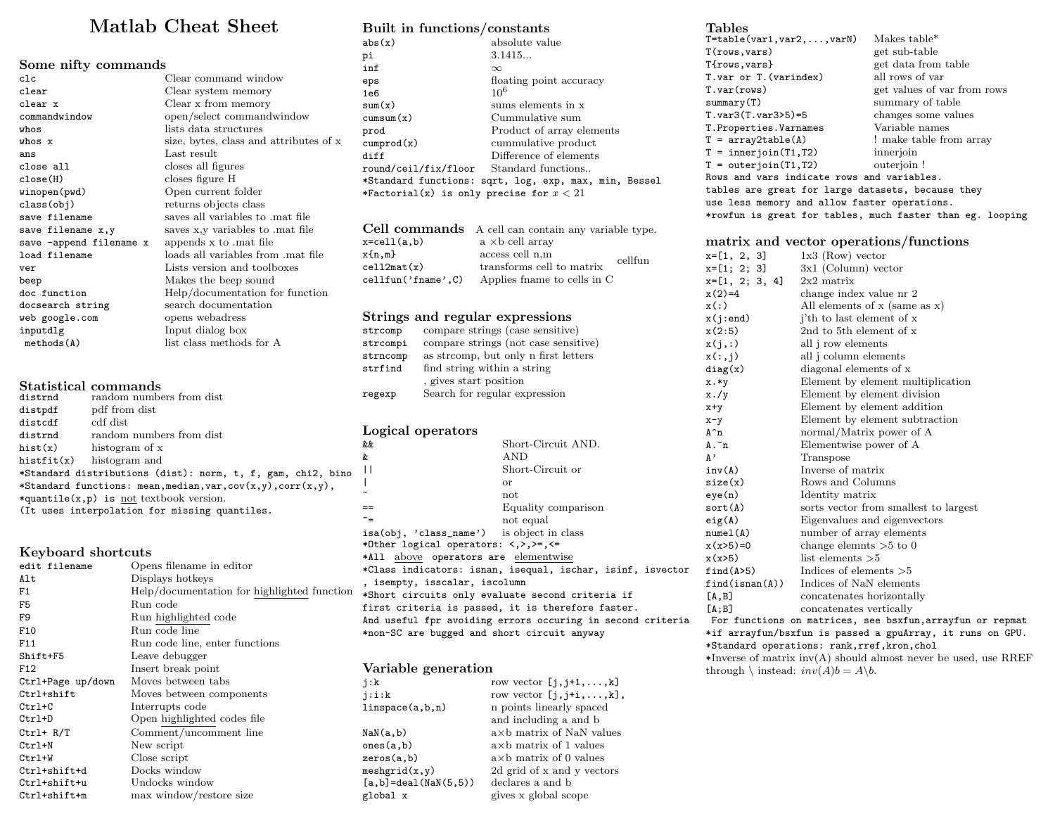## Matlab Cheat Sheet

| Some nifty commands     |                                        |
|-------------------------|----------------------------------------|
| c1c                     | Clear command window                   |
| clear                   | Clear system memory                    |
| clear x                 | Clear x from memory                    |
| commandwindow           | open/select commandwindow              |
| whos                    | lists data structures                  |
| whos x                  | size, bytes, class and attributes of x |
| ans                     | Last result                            |
| close all               | closes all figures                     |
| close(H)                | closes figure H                        |
| winopen(pwd)            | Open current folder                    |
| class(obj)              | returns objects class                  |
| save filename           | saves all variables to mat file        |
| save filename x,y       | saves x,y variables to mat file        |
| save -append filename x | appends x to .mat file                 |
| load filename           | loads all variables from .mat file     |
| ver                     | Lists version and toolboxes            |
| beep                    | Makes the beep sound                   |
| doc function            | Help/documentation for function        |
| docsearch string        | search documentation                   |
| web google.com          | opens webadress                        |
| inputdlg                | Input dialog box                       |
| methods(A)              | list class methods for A               |

#### Statistical commands

| distrnd                                                            | random numbers from dist                                    |  |
|--------------------------------------------------------------------|-------------------------------------------------------------|--|
| distpdf                                                            | pdf from dist                                               |  |
| distcdf                                                            | cdf dist                                                    |  |
| distrnd                                                            | random numbers from dist                                    |  |
| hist(x)                                                            | histogram of x                                              |  |
|                                                                    | hist $f$ it $(x)$ histogram and                             |  |
|                                                                    | *Standard distributions (dist): norm, t, f, gam, chi2, bino |  |
| *Standard functions: mean, median, var, $cov(x,y)$ , $corr(x,y)$ , |                                                             |  |
| *quantile( $x, p$ ) is not textbook version.                       |                                                             |  |
| (It uses interpolation for missing quantiles.                      |                                                             |  |

#### Keyboard shortcuts

| edit filename     | Opens filename in editor                    |
|-------------------|---------------------------------------------|
| Alt               | Displays hotkeys                            |
| F1                | Help/documentation for highlighted function |
| F5                | Run code                                    |
| F9                | Run highlighted code                        |
| F <sub>10</sub>   | Run code line                               |
| F11               | Run code line, enter functions              |
| Shift+F5          | Leave debugger                              |
| F12               | Insert break point                          |
| Ctrl+Page up/down | Moves between tabs                          |
| Ctrl+shift        | Moves between components                    |
| $Ctr1+C$          | Interrupts code                             |
| Ctrl+D            | Open highlighted codes file                 |
| $Ctrl+ R/T$       | Comment/uncomment line                      |
| Ctrl+N            | New script                                  |
| Ctrl+W            | Close script                                |
| Ctrl+shift+d      | Docks window                                |
| Ctrl+shift+u      | Undocks window                              |
| Ctrl+shift+m      | max window/restore size                     |

## Built in functions/constants

| abs(x)                                     | absolute value                                        |
|--------------------------------------------|-------------------------------------------------------|
| рi                                         | 3.1415                                                |
| inf                                        | $\infty$                                              |
| eps                                        | floating point accuracy                               |
| 1e6                                        | $10^{6}$                                              |
| sum(x)                                     | sums elements in x                                    |
| cumsum(x)                                  | Cummulative sum                                       |
| prod                                       | Product of array elements                             |
| cumprod(x)                                 | cummulative product                                   |
| diff                                       | Difference of elements                                |
| round/ceil/fix/floor Standard functions    |                                                       |
|                                            | *Standard functions: sqrt, log, exp, max, min, Bessel |
| *Factorial(x) is only precise for $x < 21$ |                                                       |
|                                            |                                                       |

|                         | Cell commands A cell can contain any variable type. |         |
|-------------------------|-----------------------------------------------------|---------|
| $x = \text{cell}(a, b)$ | $a \times b$ cell array                             |         |
| x(n,m)                  | access cell n,m                                     | cellfun |
| cell2mat(x)             | transforms cell to matrix                           |         |
| cellfun('frame'.C)      | Applies frame to cells in C                         |         |

## Strings and regular expressions

| strcomp  | compare strings (case sensitive)     |
|----------|--------------------------------------|
| strcompi | compare strings (not case sensitive) |
| strncomp | as streomp, but only n first letters |
| strfind  | find string within a string          |
|          | , gives start position               |
| regexp   | Search for regular expression        |
|          |                                      |

#### Logical operators

| Short-Circuit AND.<br>&&<br>AND.<br>&<br>П<br>Short-Circuit or<br><sub>or</sub><br>not<br>Equality comparison<br>==<br>$\tilde{\phantom{a}} =$<br>not equal<br>isa(obj, 'class_name') is object in class<br>*Other logical operators: <,>,>=,<=<br>*All above operators are elementwise<br>*Class indicators: isnan, isequal, ischar, isinf, isvector<br>, isempty, isscalar, iscolumn<br>*Short circuits only evaluate second criteria if<br>first criteria is passed, it is therefore faster.<br>And useful fpr avoiding errors occuring in second criteria | $= 0.5$ |  |  |
|---------------------------------------------------------------------------------------------------------------------------------------------------------------------------------------------------------------------------------------------------------------------------------------------------------------------------------------------------------------------------------------------------------------------------------------------------------------------------------------------------------------------------------------------------------------|---------|--|--|
|                                                                                                                                                                                                                                                                                                                                                                                                                                                                                                                                                               |         |  |  |
|                                                                                                                                                                                                                                                                                                                                                                                                                                                                                                                                                               |         |  |  |
|                                                                                                                                                                                                                                                                                                                                                                                                                                                                                                                                                               |         |  |  |
|                                                                                                                                                                                                                                                                                                                                                                                                                                                                                                                                                               |         |  |  |
|                                                                                                                                                                                                                                                                                                                                                                                                                                                                                                                                                               |         |  |  |
|                                                                                                                                                                                                                                                                                                                                                                                                                                                                                                                                                               |         |  |  |
|                                                                                                                                                                                                                                                                                                                                                                                                                                                                                                                                                               |         |  |  |
|                                                                                                                                                                                                                                                                                                                                                                                                                                                                                                                                                               |         |  |  |
|                                                                                                                                                                                                                                                                                                                                                                                                                                                                                                                                                               |         |  |  |
|                                                                                                                                                                                                                                                                                                                                                                                                                                                                                                                                                               |         |  |  |
|                                                                                                                                                                                                                                                                                                                                                                                                                                                                                                                                                               |         |  |  |
|                                                                                                                                                                                                                                                                                                                                                                                                                                                                                                                                                               |         |  |  |
|                                                                                                                                                                                                                                                                                                                                                                                                                                                                                                                                                               |         |  |  |
|                                                                                                                                                                                                                                                                                                                                                                                                                                                                                                                                                               |         |  |  |
|                                                                                                                                                                                                                                                                                                                                                                                                                                                                                                                                                               |         |  |  |
| *non-SC are bugged and short circuit anyway                                                                                                                                                                                                                                                                                                                                                                                                                                                                                                                   |         |  |  |

## Variable generation

| j:k                        | row vector $[j, j+1, \ldots, k]$   |
|----------------------------|------------------------------------|
| i:i:k                      | row vector $[j, j+i, \ldots, k]$ , |
| linspace(a,b,n)            | n points linearly spaced           |
|                            | and including a and b              |
| NaN(a,b)                   | $a \times b$ matrix of NaN values  |
| ones(a,b)                  | $a \times b$ matrix of 1 values    |
| zeros(a,b)                 | $a \times b$ matrix of 0 values    |
| meshgrid(x,y)              | 2d grid of x and y vectors         |
| $[a, b] = deal(NaN(5, 5))$ | declares a and b                   |
| global x                   | gives x global scope               |
|                            |                                    |

## Tables<br>T=table(

| -----                                                     |                             |
|-----------------------------------------------------------|-----------------------------|
| $T = table(var1, var2, , varN)$                           | Makes table*                |
| $T({\tt rows}, {\tt vars})$                               | get sub-table               |
| $T$ {rows,vars}                                           | get data from table         |
| T.var or T. (varindex)                                    | all rows of var             |
| T.var(rows)                                               | get values of var from rows |
| summary(T)                                                | summary of table            |
| T.var3(T.var3>5)=5                                        | changes some values         |
| T.Properties.Varnames                                     | Variable names              |
| $T = array2table(A)$                                      | ! make table from array     |
| $T = innerjoin(T1, T2)$                                   | innerjoin                   |
| $T = outerjoin(T1, T2)$                                   | outerioin!                  |
| Rows and vars indicate rows and variables.                |                             |
| tables are great for large datasets, because they         |                             |
| use less memory and allow faster operations.              |                             |
| *rowfun is great for tables, much faster than eg. looping |                             |

#### matrix and vector operations/functions

| $x=[1, 2, 3]$     | $1x3$ (Row) vector                                     |
|-------------------|--------------------------------------------------------|
| $x=[1; 2; 3]$     | $3x1$ (Column) vector                                  |
| $x=[1, 2; 3, 4]$  | $2x2$ matrix                                           |
| $x(2)=4$          | change index value nr 2                                |
| x(:)              | All elements of x (same as x)                          |
| x(j:end)          | j'th to last element of x                              |
| x(2:5)            | 2nd to 5th element of x                                |
| x(j,:)            | all <i>j</i> row elements                              |
| x(:,j)            | all j column elements                                  |
| diag(x)           | diagonal elements of x                                 |
| x.*y              | Element by element multiplication                      |
| $x.$ /y           | Element by element division                            |
| $x+y$             | Element by element addition                            |
| $x-y$             | Element by element subtraction                         |
| $A^n$             | normal/Matrix power of A                               |
| $A \cdot \hat{n}$ | Elementwise power of A                                 |
| $\mathbf{A}$ ,    | Transpose                                              |
| inv(A)            | Inverse of matrix                                      |
| size(x)           | Rows and Columns                                       |
| eye(n)            | Identity matrix                                        |
| sort(A)           | sorts vector from smallest to largest                  |
| eig(A)            | Eigenvalues and eigenvectors                           |
| numel(A)          | number of array elements                               |
| $x(x>5)=0$        | change elemnts $>5$ to 0                               |
| x(x>5)            | list elements $>5$                                     |
| find(A>5)         | Indices of elements $>5$                               |
| find(isnan(A))    | Indices of NaN elements                                |
| [A, B]            | concatenates horizontally                              |
| [A;B]             | concatenates vertically                                |
|                   | For functions on motrices, see beyfun arraufun er repm |

For functions on matrices, see bsxfun,arrayfun or repmat \*if arrayfun/bsxfun is passed a gpuArray, it runs on GPU. \*Standard operations: rank,rref,kron,chol  $*Inverse$  of matrix  $inv(A)$  should almost never be used, use RREF through  $\setminus$  instead:  $inv(A)b = A\backslash b$ .